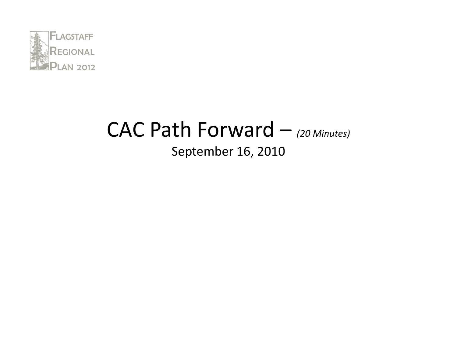

#### CAC Path Forward – (20 Minutes) September 16, 2010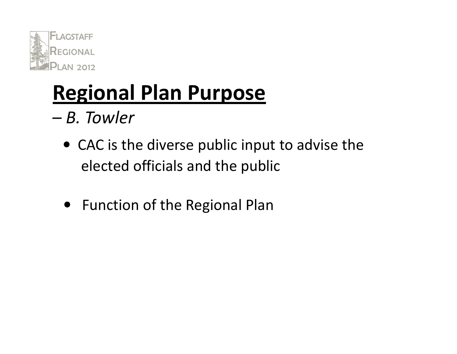

# Regional Plan Purpose

- – B. Towler
	- CAC is the diverse public input to advise the elected officials and the public
	- Function of the Regional Plan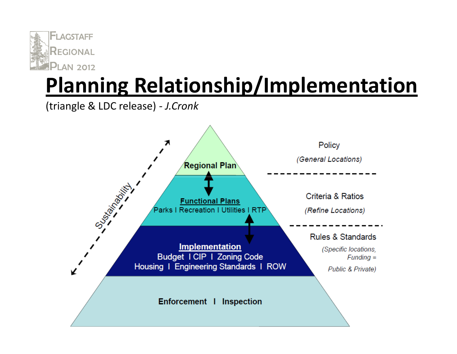

# Planning Relationship/Implementation

(triangle & LDC release) - J.Cronk

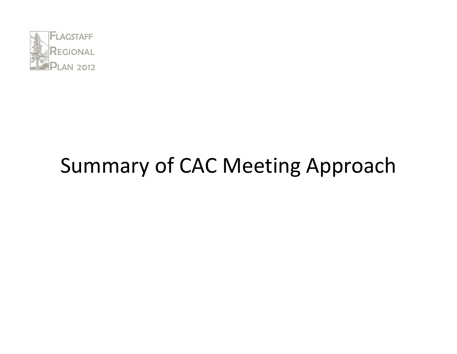

### Summary of CAC Meeting Approach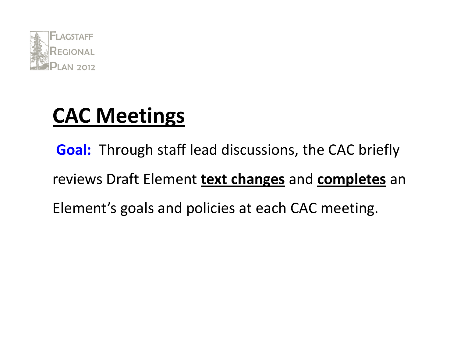

### CAC Meetings

**Goal:** Through staff lead discussions, the CAC briefly reviews Draft Element **text changes** and **completes** an Element's goals and policies at each CAC meeting.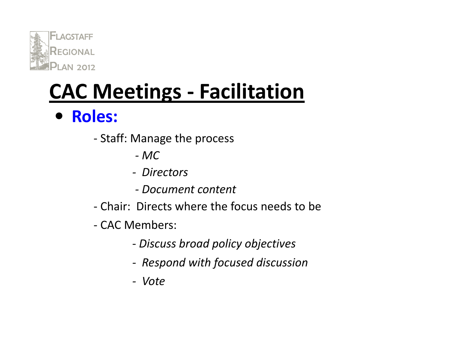

# CAC Meetings - Facilitation

• Roles:

- Staff: Manage the process
	- MC
	- -- Directors
	- Document content
- Chair: Directs where the focus needs to be
- CAC Members:
	- -Discuss broad policy objectives
	- -Respond with focused discussion
	- Vote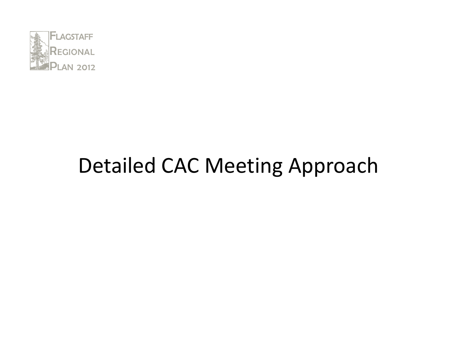

### Detailed CAC Meeting Approach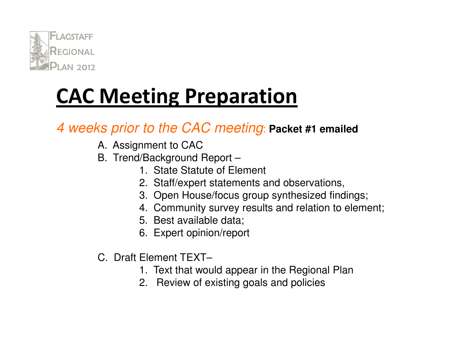

#### 4 weeks prior to the CAC meeting: **Packet #1 emailed**

- A. Assignment to CAC
- B. Trend/Background Report –
	- 1. State Statute of Element
	- 2. Staff/expert statements and observations,
	- 3. Open House/focus group synthesized findings;
	- 4. Community survey results and relation to element;
	- 5. Best available data;
	- 6. Expert opinion/report
- C. Draft Element TEXT–
	- 1. Text that would appear in the Regional Plan
	- 2. Review of existing goals and policies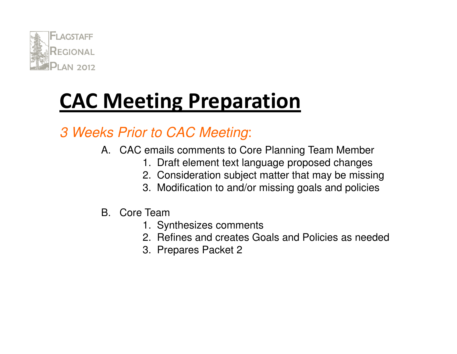

#### 3 Weeks Prior to CAC Meeting:

- A. CAC emails comments to Core Planning Team Member
	- 1. Draft element text language proposed changes
	- 2. Consideration subject matter that may be missing
	- 3. Modification to and/or missing goals and policies
- B. Core Team
	- 1. Synthesizes comments
	- 2. Refines and creates Goals and Policies as needed
	- 3. Prepares Packet 2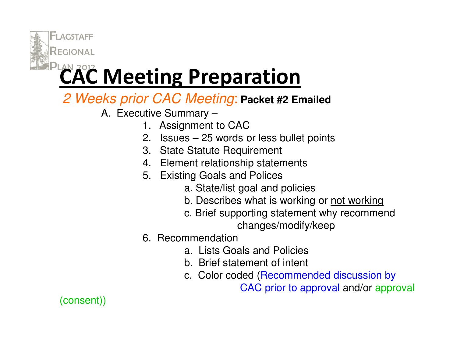

#### 2 Weeks prior CAC Meeting: **Packet #2 Emailed**

A. Executive Summary –

- 1. Assignment to CAC
- 2. Issues 25 words or less bullet points
- 3. State Statute Requirement
- 4. Element relationship statements
- 5. Existing Goals and Polices
	- a. State/list goal and policies
	- b. Describes what is working or <u>not working</u>
	- c. Brief supporting statement why recommend changes/modify/keep

#### 6. Recommendation

- a. Lists Goals and Policies
- b. Brief statement of intent
- c. Color coded (Recommended discussion by

CAC prior to approval and/or approval

(consent))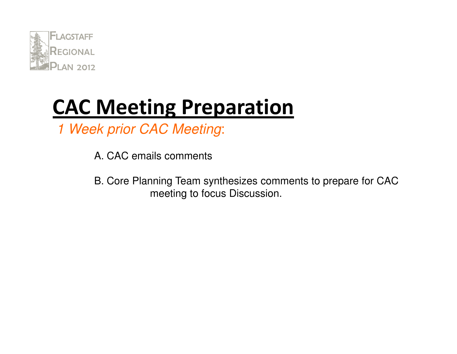

1 Week prior CAC Meeting:

A. CAC emails comments

B. Core Planning Team synthesizes comments to prepare for CAC meeting to focus Discussion.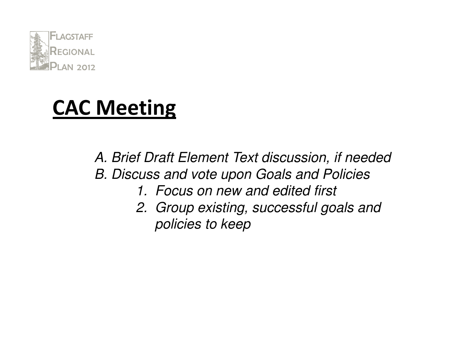

### CAC Meeting

A. Brief Draft Element Text discussion, if neededB. Discuss and vote upon Goals and Policies1. Focus on new and edited first2. Group existing, successful goals and policies to keep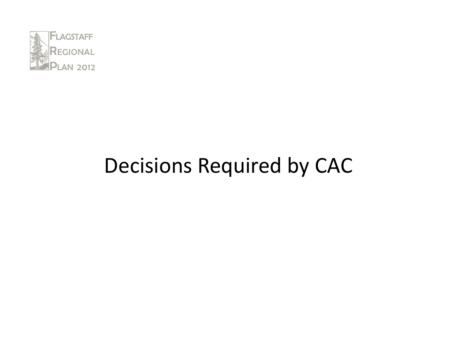

### Decisions Required by CAC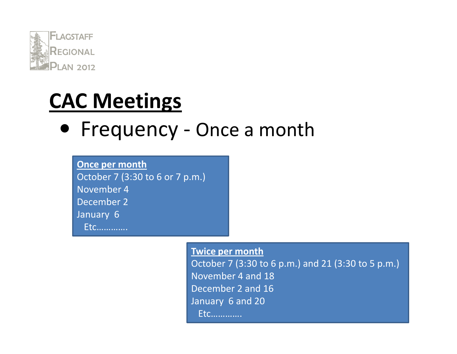

### CAC Meetings

# • Frequency - Once a month

Once per month October 7 (3:30 to 6 or 7 p.m.)November 4 December 2January 6Etc………….

> Twice per month October 7 (3:30 to 6 p.m.) and 21 (3:30 to 5 p.m.)November 4 and 18 December 2 and 16January 6 and 20Etc………….